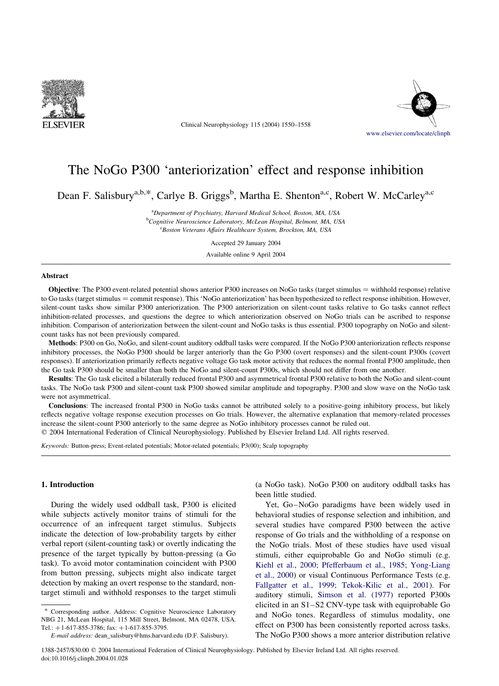

Clinical Neurophysiology 115 (2004) 1550–1558



# The NoGo P300 'anteriorization' effect and response inhibition

Dean F. Salisbury<sup>a,b,\*</sup>, Carlye B. Griggs<sup>b</sup>, Martha E. Shenton<sup>a,c</sup>, Robert W. McCarley<sup>a,c</sup>

<sup>a</sup>Department of Psychiatry, Harvard Medical School, Boston, MA, USA <sup>b</sup>Cognitive Neuroscience Laboratory, McLean Hospital, Belmont, MA, USA <sup>c</sup> Boston Veterans Affairs Healthcare System, Brockton, MA, USA

Accepted 29 January 2004

Available online 9 April 2004

#### Abstract

**Objective**: The P300 event-related potential shows anterior P300 increases on NoGo tasks (target stimulus  $=$  withhold response) relative to Go tasks (target stimulus = commit response). This 'NoGo anteriorization' has been hypothesized to reflect response inhibition. However, silent-count tasks show similar P300 anteriorization. The P300 anteriorization on silent-count tasks relative to Go tasks cannot reflect inhibition-related processes, and questions the degree to which anteriorization observed on NoGo trials can be ascribed to response inhibition. Comparison of anteriorization between the silent-count and NoGo tasks is thus essential. P300 topography on NoGo and silentcount tasks has not been previously compared.

Methods: P300 on Go, NoGo, and silent-count auditory oddball tasks were compared. If the NoGo P300 anteriorization reflects response inhibitory processes, the NoGo P300 should be larger anteriorly than the Go P300 (overt responses) and the silent-count P300s (covert responses). If anteriorization primarily reflects negative voltage Go task motor activity that reduces the normal frontal P300 amplitude, then the Go task P300 should be smaller than both the NoGo and silent-count P300s, which should not differ from one another.

Results: The Go task elicited a bilaterally reduced frontal P300 and asymmetrical frontal P300 relative to both the NoGo and silent-count tasks. The NoGo task P300 and silent-count task P300 showed similar amplitude and topography. P300 and slow wave on the NoGo task were not asymmetrical.

Conclusions: The increased frontal P300 in NoGo tasks cannot be attributed solely to a positive-going inhibitory process, but likely reflects negative voltage response execution processes on Go trials. However, the alternative explanation that memory-related processes increase the silent-count P300 anteriorly to the same degree as NoGo inhibitory processes cannot be ruled out.

 $Q$  2004 International Federation of Clinical Neurophysiology. Published by Elsevier Ireland Ltd. All rights reserved.

Keywords: Button-press; Event-related potentials; Motor-related potentials; P3(00); Scalp topography

# 1. Introduction

During the widely used oddball task, P300 is elicited while subjects actively monitor trains of stimuli for the occurrence of an infrequent target stimulus. Subjects indicate the detection of low-probability targets by either verbal report (silent-counting task) or overtly indicating the presence of the target typically by button-pressing (a Go task). To avoid motor contamination coincident with P300 from button pressing, subjects might also indicate target detection by making an overt response to the standard, nontarget stimuli and withhold responses to the target stimuli

Corresponding author. Address: Cognitive Neuroscience Laboratory NBG 21, McLean Hospital, 115 Mill Street, Belmont, MA 02478, USA. Tel.:  $+1-617-855-3786$ ; fax:  $+1-617-855-3795$ .

(a NoGo task). NoGo P300 on auditory oddball tasks has been little studied.

Yet, Go–NoGo paradigms have been widely used in behavioral studies of response selection and inhibition, and several studies have compared P300 between the active response of Go trials and the withholding of a response on the NoGo trials. Most of these studies have used visual stimuli, either equiprobable Go and NoGo stimuli (e.g. [Kiehl et al., 2000; Pfefferbaum et al., 1985; Yong-Liang](#page-8-0) [et al., 2000](#page-8-0)) or visual Continuous Performance Tests (e.g. [Fallgatter et al., 1999; Tekok-Kilic et al., 2001\)](#page-8-0). For auditory stimuli, [Simson et al. \(1977\)](#page-8-0) reported P300s elicited in an S1–S2 CNV-type task with equiprobable Go and NoGo tones. Regardless of stimulus modality, one effect on P300 has been consistently reported across tasks. The NoGo P300 shows a more anterior distribution relative

E-mail address: dean\_salisbury@hms.harvard.edu (D.F. Salisbury).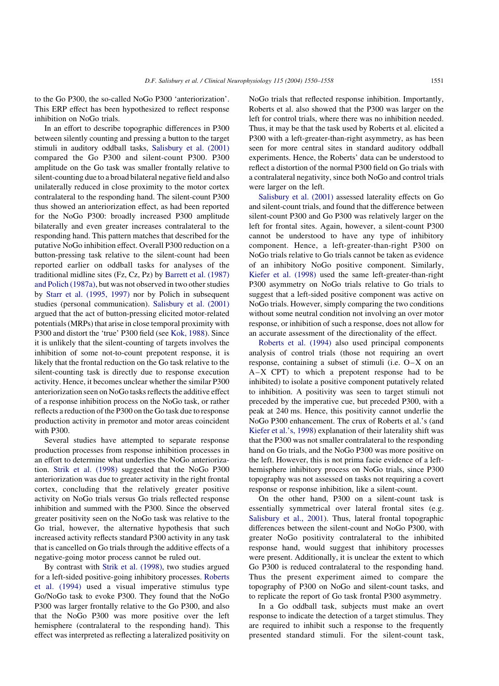to the Go P300, the so-called NoGo P300 'anteriorization'. This ERP effect has been hypothesized to reflect response inhibition on NoGo trials.

In an effort to describe topographic differences in P300 between silently counting and pressing a button to the target stimuli in auditory oddball tasks, [Salisbury et al. \(2001\)](#page-8-0) compared the Go P300 and silent-count P300. P300 amplitude on the Go task was smaller frontally relative to silent-counting due to a broad bilateral negative field and also unilaterally reduced in close proximity to the motor cortex contralateral to the responding hand. The silent-count P300 thus showed an anteriorization effect, as had been reported for the NoGo P300: broadly increased P300 amplitude bilaterally and even greater increases contralateral to the responding hand. This pattern matches that described for the putative NoGo inhibition effect. Overall P300 reduction on a button-pressing task relative to the silent-count had been reported earlier on oddball tasks for analyses of the traditional midline sites (Fz, Cz, Pz) by [Barrett et al. \(1987\)](#page-8-0) [and Polich \(1987a\)](#page-8-0), but was not observed in two other studies by [Starr et al. \(1995, 1997\)](#page-8-0) nor by Polich in subsequent studies (personal communication). [Salisbury et al. \(2001\)](#page-8-0) argued that the act of button-pressing elicited motor-related potentials (MRPs) that arise in close temporal proximity with P300 and distort the 'true' P300 field (see [Kok, 1988](#page-8-0)). Since it is unlikely that the silent-counting of targets involves the inhibition of some not-to-count prepotent response, it is likely that the frontal reduction on the Go task relative to the silent-counting task is directly due to response execution activity. Hence, it becomes unclear whether the similar P300 anteriorization seen on NoGo tasks reflects the additive effect of a response inhibition process on the NoGo task, or rather reflects a reduction of the P300 on the Go task due to response production activity in premotor and motor areas coincident with P300.

Several studies have attempted to separate response production processes from response inhibition processes in an effort to determine what underlies the NoGo anteriorization. [Strik et al. \(1998\)](#page-8-0) suggested that the NoGo P300 anteriorization was due to greater activity in the right frontal cortex, concluding that the relatively greater positive activity on NoGo trials versus Go trials reflected response inhibition and summed with the P300. Since the observed greater positivity seen on the NoGo task was relative to the Go trial, however, the alternative hypothesis that such increased activity reflects standard P300 activity in any task that is cancelled on Go trials through the additive effects of a negative-going motor process cannot be ruled out.

By contrast with [Strik et al. \(1998\),](#page-8-0) two studies argued for a left-sided positive-going inhibitory processes. [Roberts](#page-8-0) [et al. \(1994\)](#page-8-0) used a visual imperative stimulus type Go/NoGo task to evoke P300. They found that the NoGo P300 was larger frontally relative to the Go P300, and also that the NoGo P300 was more positive over the left hemisphere (contralateral to the responding hand). This effect was interpreted as reflecting a lateralized positivity on

NoGo trials that reflected response inhibition. Importantly, Roberts et al. also showed that the P300 was larger on the left for control trials, where there was no inhibition needed. Thus, it may be that the task used by Roberts et al. elicited a P300 with a left-greater-than-right asymmetry, as has been seen for more central sites in standard auditory oddball experiments. Hence, the Roberts' data can be understood to reflect a distortion of the normal P300 field on Go trials with a contralateral negativity, since both NoGo and control trials were larger on the left.

[Salisbury et al. \(2001\)](#page-8-0) assessed laterality effects on Go and silent-count trials, and found that the difference between silent-count P300 and Go P300 was relatively larger on the left for frontal sites. Again, however, a silent-count P300 cannot be understood to have any type of inhibitory component. Hence, a left-greater-than-right P300 on NoGo trials relative to Go trials cannot be taken as evidence of an inhibitory NoGo positive component. Similarly, [Kiefer et al. \(1998\)](#page-8-0) used the same left-greater-than-right P300 asymmetry on NoGo trials relative to Go trials to suggest that a left-sided positive component was active on NoGo trials. However, simply comparing the two conditions without some neutral condition not involving an over motor response, or inhibition of such a response, does not allow for an accurate assessment of the directionality of the effect.

[Roberts et al. \(1994\)](#page-8-0) also used principal components analysis of control trials (those not requiring an overt response, containing a subset of stimuli (i.e. O–X on an A–X CPT) to which a prepotent response had to be inhibited) to isolate a positive component putatively related to inhibition. A positivity was seen to target stimuli not preceded by the imperative cue, but preceded P300, with a peak at 240 ms. Hence, this positivity cannot underlie the NoGo P300 enhancement. The crux of Roberts et al.'s (and [Kiefer et al.'s, 1998\)](#page-8-0) explanation of their laterality shift was that the P300 was not smaller contralateral to the responding hand on Go trials, and the NoGo P300 was more positive on the left. However, this is not prima facie evidence of a lefthemisphere inhibitory process on NoGo trials, since P300 topography was not assessed on tasks not requiring a covert response or response inhibition, like a silent-count.

On the other hand, P300 on a silent-count task is essentially symmetrical over lateral frontal sites (e.g. [Salisbury et al., 2001](#page-8-0)). Thus, lateral frontal topographic differences between the silent-count and NoGo P300, with greater NoGo positivity contralateral to the inhibited response hand, would suggest that inhibitory processes were present. Additionally, it is unclear the extent to which Go P300 is reduced contralateral to the responding hand. Thus the present experiment aimed to compare the topography of P300 on NoGo and silent-count tasks, and to replicate the report of Go task frontal P300 asymmetry.

In a Go oddball task, subjects must make an overt response to indicate the detection of a target stimulus. They are required to inhibit such a response to the frequently presented standard stimuli. For the silent-count task,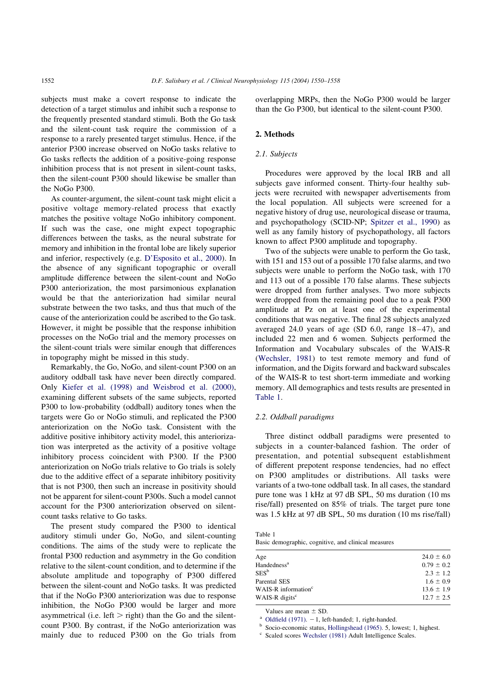subjects must make a covert response to indicate the detection of a target stimulus and inhibit such a response to the frequently presented standard stimuli. Both the Go task and the silent-count task require the commission of a response to a rarely presented target stimulus. Hence, if the anterior P300 increase observed on NoGo tasks relative to Go tasks reflects the addition of a positive-going response inhibition process that is not present in silent-count tasks, then the silent-count P300 should likewise be smaller than the NoGo P300.

As counter-argument, the silent-count task might elicit a positive voltage memory-related process that exactly matches the positive voltage NoGo inhibitory component. If such was the case, one might expect topographic differences between the tasks, as the neural substrate for memory and inhibition in the frontal lobe are likely superior and inferior, respectively (e.g. [D'Esposito et al., 2000](#page-8-0)). In the absence of any significant topographic or overall amplitude difference between the silent-count and NoGo P300 anteriorization, the most parsimonious explanation would be that the anteriorization had similar neural substrate between the two tasks, and thus that much of the cause of the anteriorization could be ascribed to the Go task. However, it might be possible that the response inhibition processes on the NoGo trial and the memory processes on the silent-count trials were similar enough that differences in topography might be missed in this study.

Remarkably, the Go, NoGo, and silent-count P300 on an auditory oddball task have never been directly compared. Only [Kiefer et al. \(1998\) and Weisbrod et al. \(2000\)](#page-8-0), examining different subsets of the same subjects, reported P300 to low-probability (oddball) auditory tones when the targets were Go or NoGo stimuli, and replicated the P300 anteriorization on the NoGo task. Consistent with the additive positive inhibitory activity model, this anteriorization was interpreted as the activity of a positive voltage inhibitory process coincident with P300. If the P300 anteriorization on NoGo trials relative to Go trials is solely due to the additive effect of a separate inhibitory positivity that is not P300, then such an increase in positivity should not be apparent for silent-count P300s. Such a model cannot account for the P300 anteriorization observed on silentcount tasks relative to Go tasks.

The present study compared the P300 to identical auditory stimuli under Go, NoGo, and silent-counting conditions. The aims of the study were to replicate the frontal P300 reduction and asymmetry in the Go condition relative to the silent-count condition, and to determine if the absolute amplitude and topography of P300 differed between the silent-count and NoGo tasks. It was predicted that if the NoGo P300 anteriorization was due to response inhibition, the NoGo P300 would be larger and more asymmetrical (i.e. left  $>$  right) than the Go and the silentcount P300. By contrast, if the NoGo anteriorization was mainly due to reduced P300 on the Go trials from

overlapping MRPs, then the NoGo P300 would be larger than the Go P300, but identical to the silent-count P300.

#### 2. Methods

### 2.1. Subjects

Procedures were approved by the local IRB and all subjects gave informed consent. Thirty-four healthy subjects were recruited with newspaper advertisements from the local population. All subjects were screened for a negative history of drug use, neurological disease or trauma, and psychopathology (SCID-NP; [Spitzer et al., 1990\)](#page-8-0) as well as any family history of psychopathology, all factors known to affect P300 amplitude and topography.

Two of the subjects were unable to perform the Go task, with 151 and 153 out of a possible 170 false alarms, and two subjects were unable to perform the NoGo task, with 170 and 113 out of a possible 170 false alarms. These subjects were dropped from further analyses. Two more subjects were dropped from the remaining pool due to a peak P300 amplitude at Pz on at least one of the experimental conditions that was negative. The final 28 subjects analyzed averaged 24.0 years of age (SD 6.0, range 18–47), and included 22 men and 6 women. Subjects performed the Information and Vocabulary subscales of the WAIS-R ([Wechsler, 1981](#page-8-0)) to test remote memory and fund of information, and the Digits forward and backward subscales of the WAIS-R to test short-term immediate and working memory. All demographics and tests results are presented in Table 1.

#### 2.2. Oddball paradigms

Three distinct oddball paradigms were presented to subjects in a counter-balanced fashion. The order of presentation, and potential subsequent establishment of different prepotent response tendencies, had no effect on P300 amplitudes or distributions. All tasks were variants of a two-tone oddball task. In all cases, the standard pure tone was 1 kHz at 97 dB SPL, 50 ms duration (10 ms rise/fall) presented on 85% of trials. The target pure tone was 1.5 kHz at 97 dB SPL, 50 ms duration (10 ms rise/fall)

| Table 1 |                                                     |  |  |
|---------|-----------------------------------------------------|--|--|
|         | Basic demographic, cognitive, and clinical measures |  |  |

| Age                             | $24.0 \pm 6.0$ |
|---------------------------------|----------------|
| Handedness <sup>a</sup>         | $0.79 \pm 0.2$ |
| $SES^b$                         | $2.3 \pm 1.2$  |
| Parental SES                    | $1.6 \pm 0.9$  |
| WAIS-R information <sup>c</sup> | $13.6 \pm 1.9$ |
| WAIS-R digits <sup>c</sup>      | $12.7 \pm 2.5$ |
|                                 |                |

Values are mean  $\pm$  SD. <br><sup>a</sup> [Oldfield \(1971\)](#page-8-0). -1, left-handed; 1, right-handed. b Socio-economic status, [Hollingshead \(1965\)](#page-8-0). 5, lowest; 1, highest.

<sup>c</sup> Scaled scores [Wechsler \(1981\)](#page-8-0) Adult Intelligence Scales.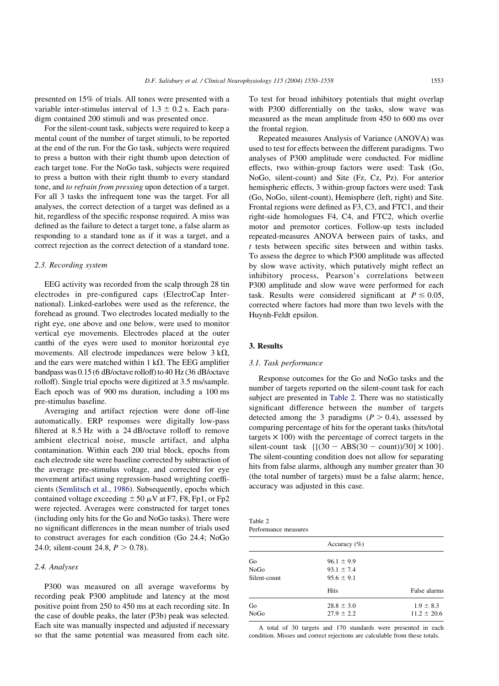presented on 15% of trials. All tones were presented with a variable inter-stimulus interval of  $1.3 \pm 0.2$  s. Each paradigm contained 200 stimuli and was presented once.

For the silent-count task, subjects were required to keep a mental count of the number of target stimuli, to be reported at the end of the run. For the Go task, subjects were required to press a button with their right thumb upon detection of each target tone. For the NoGo task, subjects were required to press a button with their right thumb to every standard tone, and to refrain from pressing upon detection of a target. For all 3 tasks the infrequent tone was the target. For all analyses, the correct detection of a target was defined as a hit, regardless of the specific response required. A miss was defined as the failure to detect a target tone, a false alarm as responding to a standard tone as if it was a target, and a correct rejection as the correct detection of a standard tone.

## 2.3. Recording system

EEG activity was recorded from the scalp through 28 tin electrodes in pre-configured caps (ElectroCap International). Linked-earlobes were used as the reference, the forehead as ground. Two electrodes located medially to the right eye, one above and one below, were used to monitor vertical eye movements. Electrodes placed at the outer canthi of the eyes were used to monitor horizontal eye movements. All electrode impedances were below  $3 k\Omega$ , and the ears were matched within 1 k $\Omega$ . The EEG amplifier bandpass was 0.15 (6 dB/octave rolloff) to 40 Hz (36 dB/octave rolloff). Single trial epochs were digitized at 3.5 ms/sample. Each epoch was of 900 ms duration, including a 100 ms pre-stimulus baseline.

Averaging and artifact rejection were done off-line automatically. ERP responses were digitally low-pass filtered at 8.5 Hz with a 24 dB/octave rolloff to remove ambient electrical noise, muscle artifact, and alpha contamination. Within each 200 trial block, epochs from each electrode site were baseline corrected by subtraction of the average pre-stimulus voltage, and corrected for eye movement artifact using regression-based weighting coefficients ([Semlitsch et al., 1986](#page-8-0)). Subsequently, epochs which contained voltage exceeding  $\pm 50 \mu$ V at F7, F8, Fp1, or Fp2 were rejected. Averages were constructed for target tones (including only hits for the Go and NoGo tasks). There were no significant differences in the mean number of trials used to construct averages for each condition (Go 24.4; NoGo 24.0; silent-count 24.8,  $P > 0.78$ ).

# 2.4. Analyses

P300 was measured on all average waveforms by recording peak P300 amplitude and latency at the most positive point from 250 to 450 ms at each recording site. In the case of double peaks, the later (P3b) peak was selected. Each site was manually inspected and adjusted if necessary so that the same potential was measured from each site.

To test for broad inhibitory potentials that might overlap with P300 differentially on the tasks, slow wave was measured as the mean amplitude from 450 to 600 ms over the frontal region.

Repeated measures Analysis of Variance (ANOVA) was used to test for effects between the different paradigms. Two analyses of P300 amplitude were conducted. For midline effects, two within-group factors were used: Task (Go, NoGo, silent-count) and Site (Fz, Cz, Pz). For anterior hemispheric effects, 3 within-group factors were used: Task (Go, NoGo, silent-count), Hemisphere (left, right) and Site. Frontal regions were defined as F3, C3, and FTC1, and their right-side homologues F4, C4, and FTC2, which overlie motor and premotor cortices. Follow-up tests included repeated-measures ANOVA between pairs of tasks, and t tests between specific sites between and within tasks. To assess the degree to which P300 amplitude was affected by slow wave activity, which putatively might reflect an inhibitory process, Pearson's correlations between P300 amplitude and slow wave were performed for each task. Results were considered significant at  $P \le 0.05$ , corrected where factors had more than two levels with the Huynh-Feldt epsilon.

# 3. Results

# 3.1. Task performance

Response outcomes for the Go and NoGo tasks and the number of targets reported on the silent-count task for each subject are presented in Table 2. There was no statistically significant difference between the number of targets detected among the 3 paradigms  $(P > 0.4)$ , assessed by comparing percentage of hits for the operant tasks (hits/total targets  $\times$  100) with the percentage of correct targets in the silent-count task  $\{[(30 - ABS(30 - count))/30] \times 100\}.$ The silent-counting condition does not allow for separating hits from false alarms, although any number greater than 30 (the total number of targets) must be a false alarm; hence, accuracy was adjusted in this case.

Table 2 Performance measures

|              | Accuracy $(\% )$ |                 |
|--------------|------------------|-----------------|
| Go           | $96.1 \pm 9.9$   |                 |
| NoGo         | $93.1 \pm 7.4$   |                 |
| Silent-count | $95.6 \pm 9.1$   |                 |
|              | Hits             | False alarms    |
| Go           | $28.8 \pm 3.0$   | $1.9 \pm 8.3$   |
| NoGo         | $27.9 \pm 2.2$   | $11.2 \pm 20.6$ |
|              |                  |                 |

A total of 30 targets and 170 standards were presented in each condition. Misses and correct rejections are calculable from these totals.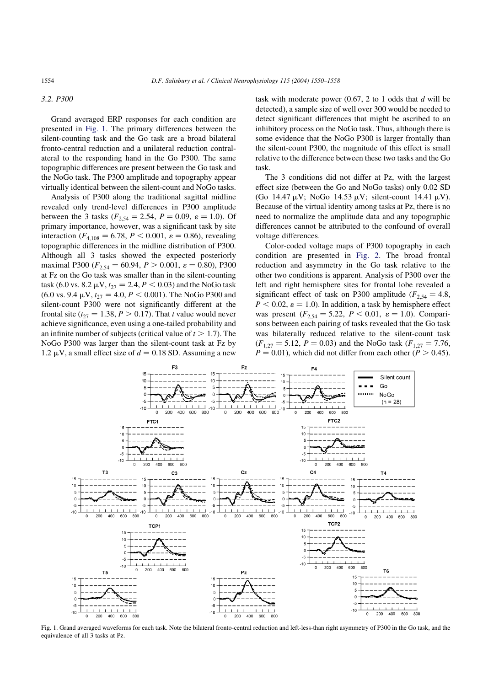#### 3.2. P300

Grand averaged ERP responses for each condition are presented in Fig. 1. The primary differences between the silent-counting task and the Go task are a broad bilateral fronto-central reduction and a unilateral reduction contralateral to the responding hand in the Go P300. The same topographic differences are present between the Go task and the NoGo task. The P300 amplitude and topography appear virtually identical between the silent-count and NoGo tasks.

Analysis of P300 along the traditional sagittal midline revealed only trend-level differences in P300 amplitude between the 3 tasks ( $F_{2,54} = 2.54$ ,  $P = 0.09$ ,  $\varepsilon = 1.0$ ). Of primary importance, however, was a significant task by site interaction ( $F_{4,108} = 6.78$ ,  $P < 0.001$ ,  $\varepsilon = 0.86$ ), revealing topographic differences in the midline distribution of P300. Although all 3 tasks showed the expected posteriorly maximal P300 ( $F_{2,54} = 60.94, P > 0.001, \varepsilon = 0.80$ ), P300 at Fz on the Go task was smaller than in the silent-counting task (6.0 vs. 8.2  $\mu$ V,  $t_{27} = 2.4, P < 0.03$ ) and the NoGo task  $(6.0 \text{ vs. } 9.4 \text{ }\mu\text{V}, t_{27} = 4.0, P < 0.001)$ . The NoGo P300 and silent-count P300 were not significantly different at the frontal site ( $t_{27} = 1.38, P > 0.17$ ). That t value would never achieve significance, even using a one-tailed probability and an infinite number of subjects (critical value of  $t > 1.7$ ). The NoGo P300 was larger than the silent-count task at Fz by 1.2  $\mu$ V, a small effect size of  $d = 0.18$  SD. Assuming a new

task with moderate power  $(0.67, 2 \text{ to } 1 \text{ odds that } d \text{ will be})$ detected), a sample size of well over 300 would be needed to detect significant differences that might be ascribed to an inhibitory process on the NoGo task. Thus, although there is some evidence that the NoGo P300 is larger frontally than the silent-count P300, the magnitude of this effect is small relative to the difference between these two tasks and the Go task.

The 3 conditions did not differ at Pz, with the largest effect size (between the Go and NoGo tasks) only 0.02 SD (Go 14.47  $\mu$ V; NoGo 14.53  $\mu$ V; silent-count 14.41  $\mu$ V). Because of the virtual identity among tasks at Pz, there is no need to normalize the amplitude data and any topographic differences cannot be attributed to the confound of overall voltage differences.

Color-coded voltage maps of P300 topography in each condition are presented in [Fig. 2.](#page-5-0) The broad frontal reduction and asymmetry in the Go task relative to the other two conditions is apparent. Analysis of P300 over the left and right hemisphere sites for frontal lobe revealed a significant effect of task on P300 amplitude ( $F_{2,54} = 4.8$ ;  $P < 0.02$ ,  $\varepsilon = 1.0$ ). In addition, a task by hemisphere effect was present ( $F_{2,54} = 5.22$ ,  $P < 0.01$ ,  $\varepsilon = 1.0$ ). Comparisons between each pairing of tasks revealed that the Go task was bilaterally reduced relative to the silent-count task  $(F_{1,27} = 5.12, P = 0.03)$  and the NoGo task  $(F_{1,27} = 7.76, P = 0.03)$  $P = 0.01$ , which did not differ from each other  $(P > 0.45)$ .



Fig. 1. Grand averaged waveforms for each task. Note the bilateral fronto-central reduction and left-less-than right asymmetry of P300 in the Go task, and the equivalence of all 3 tasks at Pz.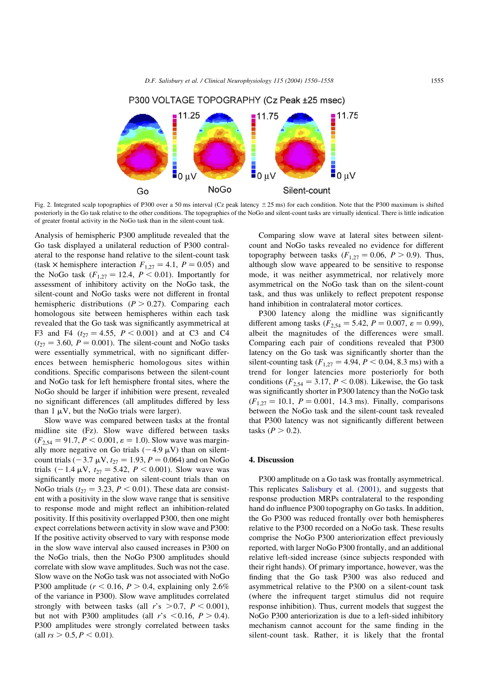<span id="page-5-0"></span>

Fig. 2. Integrated scalp topographies of P300 over a 50 ms interval (Cz peak latency  $\pm$  25 ms) for each condition. Note that the P300 maximum is shifted posteriorly in the Go task relative to the other conditions. The topographies of the NoGo and silent-count tasks are virtually identical. There is little indication of greater frontal activity in the NoGo task than in the silent-count task.

Analysis of hemispheric P300 amplitude revealed that the Go task displayed a unilateral reduction of P300 contralateral to the response hand relative to the silent-count task (task  $\times$  hemisphere interaction  $F_{1,27} = 4.1$ ,  $P = 0.05$ ) and the NoGo task  $(F_{1,27} = 12.4, P < 0.01)$ . Importantly for assessment of inhibitory activity on the NoGo task, the silent-count and NoGo tasks were not different in frontal hemispheric distributions  $(P > 0.27)$ . Comparing each homologous site between hemispheres within each task revealed that the Go task was significantly asymmetrical at F3 and F4 ( $t_{27} = 4.55$ ,  $P < 0.001$ ) and at C3 and C4  $(t_{27} = 3.60, P = 0.001)$ . The silent-count and NoGo tasks were essentially symmetrical, with no significant differences between hemispheric homologous sites within conditions. Specific comparisons between the silent-count and NoGo task for left hemisphere frontal sites, where the NoGo should be larger if inhibition were present, revealed no significant differences (all amplitudes differed by less than  $1 \mu V$ , but the NoGo trials were larger).

Slow wave was compared between tasks at the frontal midline site (Fz). Slow wave differed between tasks  $(F_{2,54} = 91.7, P < 0.001, \varepsilon = 1.0)$ . Slow wave was marginally more negative on Go trials  $(-4.9 \mu V)$  than on silentcount trials (-3.7  $\mu$ V,  $t_{27} = 1.93$ ,  $P = 0.064$ ) and on NoGo trials  $(-1.4 \mu V, t_{27} = 5.42, P < 0.001)$ . Slow wave was significantly more negative on silent-count trials than on NoGo trials ( $t_{27} = 3.23$ ,  $P < 0.01$ ). These data are consistent with a positivity in the slow wave range that is sensitive to response mode and might reflect an inhibition-related positivity. If this positivity overlapped P300, then one might expect correlations between activity in slow wave and P300: If the positive activity observed to vary with response mode in the slow wave interval also caused increases in P300 on the NoGo trials, then the NoGo P300 amplitudes should correlate with slow wave amplitudes. Such was not the case. Slow wave on the NoGo task was not associated with NoGo P300 amplitude ( $r < 0.16$ ,  $P > 0.4$ , explaining only 2.6%) of the variance in P300). Slow wave amplitudes correlated strongly with between tasks (all r's  $> 0.7$ ,  $P < 0.001$ ), but not with P300 amplitudes (all r's  $\leq$  0.16, P  $>$  0.4). P300 amplitudes were strongly correlated between tasks (all  $rs > 0.5, P < 0.01$ ).

Comparing slow wave at lateral sites between silentcount and NoGo tasks revealed no evidence for different topography between tasks  $(F_{1,27} = 0.06, P > 0.9)$ . Thus, although slow wave appeared to be sensitive to response mode, it was neither asymmetrical, nor relatively more asymmetrical on the NoGo task than on the silent-count task, and thus was unlikely to reflect prepotent response hand inhibition in contralateral motor cortices.

P300 latency along the midline was significantly different among tasks ( $F_{2,54} = 5.42, P = 0.007, \varepsilon = 0.99$ ), albeit the magnitudes of the differences were small. Comparing each pair of conditions revealed that P300 latency on the Go task was significantly shorter than the silent-counting task ( $F_{1,27} = 4.94, P < 0.04, 8.3$  ms) with a trend for longer latencies more posteriorly for both conditions ( $F_{2,54} = 3.17, P \le 0.08$ ). Likewise, the Go task was significantly shorter in P300 latency than the NoGo task  $(F_{1,27} = 10.1, P = 0.001, 14.3 \text{ ms})$ . Finally, comparisons between the NoGo task and the silent-count task revealed that P300 latency was not significantly different between tasks  $(P > 0.2)$ .

# 4. Discussion

P300 amplitude on a Go task was frontally asymmetrical. This replicates [Salisbury et al. \(2001\)](#page-8-0), and suggests that response production MRPs contralateral to the responding hand do influence P300 topography on Go tasks. In addition, the Go P300 was reduced frontally over both hemispheres relative to the P300 recorded on a NoGo task. These results comprise the NoGo P300 anteriorization effect previously reported, with larger NoGo P300 frontally, and an additional relative left-sided increase (since subjects responded with their right hands). Of primary importance, however, was the finding that the Go task P300 was also reduced and asymmetrical relative to the P300 on a silent-count task (where the infrequent target stimulus did not require response inhibition). Thus, current models that suggest the NoGo P300 anteriorization is due to a left-sided inhibitory mechanism cannot account for the same finding in the silent-count task. Rather, it is likely that the frontal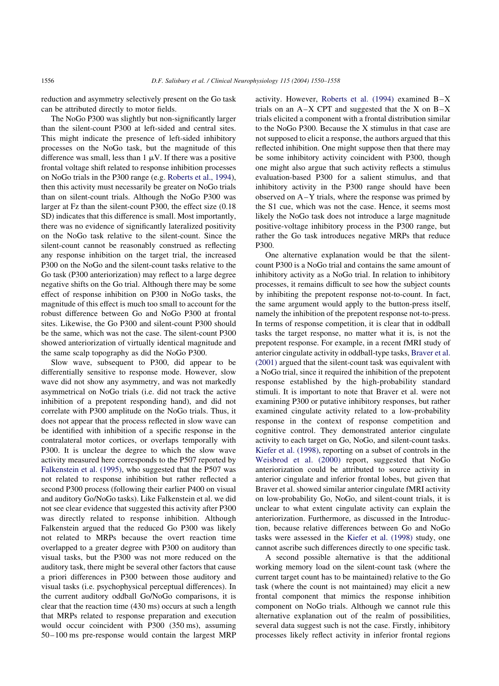reduction and asymmetry selectively present on the Go task can be attributed directly to motor fields.

The NoGo P300 was slightly but non-significantly larger than the silent-count P300 at left-sided and central sites. This might indicate the presence of left-sided inhibitory processes on the NoGo task, but the magnitude of this difference was small, less than  $1 \mu V$ . If there was a positive frontal voltage shift related to response inhibition processes on NoGo trials in the P300 range (e.g. [Roberts et al., 1994\)](#page-8-0), then this activity must necessarily be greater on NoGo trials than on silent-count trials. Although the NoGo P300 was larger at Fz than the silent-count P300, the effect size (0.18 SD) indicates that this difference is small. Most importantly, there was no evidence of significantly lateralized positivity on the NoGo task relative to the silent-count. Since the silent-count cannot be reasonably construed as reflecting any response inhibition on the target trial, the increased P300 on the NoGo and the silent-count tasks relative to the Go task (P300 anteriorization) may reflect to a large degree negative shifts on the Go trial. Although there may be some effect of response inhibition on P300 in NoGo tasks, the magnitude of this effect is much too small to account for the robust difference between Go and NoGo P300 at frontal sites. Likewise, the Go P300 and silent-count P300 should be the same, which was not the case. The silent-count P300 showed anteriorization of virtually identical magnitude and the same scalp topography as did the NoGo P300.

Slow wave, subsequent to P300, did appear to be differentially sensitive to response mode. However, slow wave did not show any asymmetry, and was not markedly asymmetrical on NoGo trials (i.e. did not track the active inhibition of a prepotent responding hand), and did not correlate with P300 amplitude on the NoGo trials. Thus, it does not appear that the process reflected in slow wave can be identified with inhibition of a specific response in the contralateral motor cortices, or overlaps temporally with P300. It is unclear the degree to which the slow wave activity measured here corresponds to the P507 reported by [Falkenstein et al. \(1995\)](#page-8-0), who suggested that the P507 was not related to response inhibition but rather reflected a second P300 process (following their earlier P400 on visual and auditory Go/NoGo tasks). Like Falkenstein et al. we did not see clear evidence that suggested this activity after P300 was directly related to response inhibition. Although Falkenstein argued that the reduced Go P300 was likely not related to MRPs because the overt reaction time overlapped to a greater degree with P300 on auditory than visual tasks, but the P300 was not more reduced on the auditory task, there might be several other factors that cause a priori differences in P300 between those auditory and visual tasks (i.e. psychophysical perceptual differences). In the current auditory oddball Go/NoGo comparisons, it is clear that the reaction time (430 ms) occurs at such a length that MRPs related to response preparation and execution would occur coincident with P300 (350 ms), assuming 50–100 ms pre-response would contain the largest MRP

activity. However, [Roberts et al. \(1994\)](#page-8-0) examined B–X trials on an  $A-X$  CPT and suggested that the X on  $B-X$ trials elicited a component with a frontal distribution similar to the NoGo P300. Because the X stimulus in that case are not supposed to elicit a response, the authors argued that this reflected inhibition. One might suppose then that there may be some inhibitory activity coincident with P300, though one might also argue that such activity reflects a stimulus evaluation-based P300 for a salient stimulus, and that inhibitory activity in the P300 range should have been observed on A–Y trials, where the response was primed by the S1 cue, which was not the case. Hence, it seems most likely the NoGo task does not introduce a large magnitude positive-voltage inhibitory process in the P300 range, but rather the Go task introduces negative MRPs that reduce P300.

One alternative explanation would be that the silentcount P300 is a NoGo trial and contains the same amount of inhibitory activity as a NoGo trial. In relation to inhibitory processes, it remains difficult to see how the subject counts by inhibiting the prepotent response not-to-count. In fact, the same argument would apply to the button-press itself, namely the inhibition of the prepotent response not-to-press. In terms of response competition, it is clear that in oddball tasks the target response, no matter what it is, is not the prepotent response. For example, in a recent fMRI study of anterior cingulate activity in oddball-type tasks, [Braver et al.](#page-8-0) [\(2001\)](#page-8-0) argued that the silent-count task was equivalent with a NoGo trial, since it required the inhibition of the prepotent response established by the high-probability standard stimuli. It is important to note that Braver et al. were not examining P300 or putative inhibitory responses, but rather examined cingulate activity related to a low-probability response in the context of response competition and cognitive control. They demonstrated anterior cingulate activity to each target on Go, NoGo, and silent-count tasks. [Kiefer et al. \(1998\)](#page-8-0), reporting on a subset of controls in the [Weisbrod et al. \(2000\)](#page-8-0) report, suggested that NoGo anteriorization could be attributed to source activity in anterior cingulate and inferior frontal lobes, but given that Braver et al. showed similar anterior cingulate fMRI activity on low-probability Go, NoGo, and silent-count trials, it is unclear to what extent cingulate activity can explain the anteriorization. Furthermore, as discussed in the Introduction, because relative differences between Go and NoGo tasks were assessed in the [Kiefer et al. \(1998\)](#page-8-0) study, one cannot ascribe such differences directly to one specific task.

A second possible alternative is that the additional working memory load on the silent-count task (where the current target count has to be maintained) relative to the Go task (where the count is not maintained) may elicit a new frontal component that mimics the response inhibition component on NoGo trials. Although we cannot rule this alternative explanation out of the realm of possibilities, several data suggest such is not the case. Firstly, inhibitory processes likely reflect activity in inferior frontal regions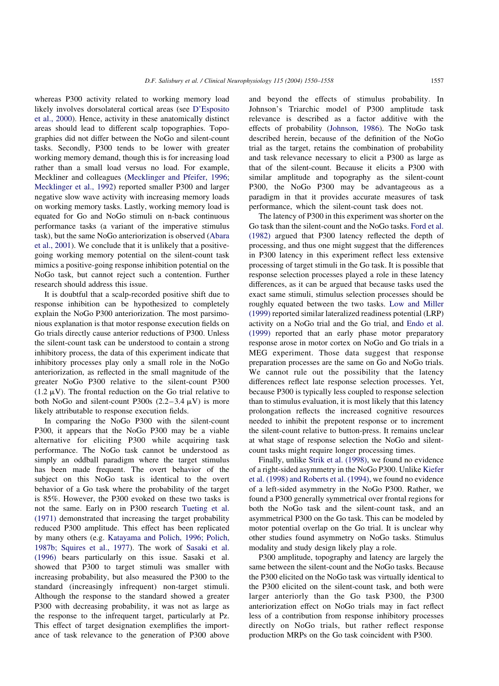whereas P300 activity related to working memory load likely involves dorsolateral cortical areas (see [D'Esposito](#page-8-0) [et al., 2000](#page-8-0)). Hence, activity in these anatomically distinct areas should lead to different scalp topographies. Topographies did not differ between the NoGo and silent-count tasks. Secondly, P300 tends to be lower with greater working memory demand, though this is for increasing load rather than a small load versus no load. For example, Meckliner and colleagues [\(Mecklinger and Pfeifer, 1996;](#page-8-0) [Mecklinger et al., 1992](#page-8-0)) reported smaller P300 and larger negative slow wave activity with increasing memory loads on working memory tasks. Lastly, working memory load is equated for Go and NoGo stimuli on n-back continuous performance tasks (a variant of the imperative stimulus task), but the same NoGo anteriorization is observed [\(Abara](#page-8-0) [et al., 2001](#page-8-0)). We conclude that it is unlikely that a positivegoing working memory potential on the silent-count task mimics a positive-going response inhibition potential on the NoGo task, but cannot reject such a contention. Further research should address this issue.

It is doubtful that a scalp-recorded positive shift due to response inhibition can be hypothesized to completely explain the NoGo P300 anteriorization. The most parsimonious explanation is that motor response execution fields on Go trials directly cause anterior reductions of P300. Unless the silent-count task can be understood to contain a strong inhibitory process, the data of this experiment indicate that inhibitory processes play only a small role in the NoGo anteriorization, as reflected in the small magnitude of the greater NoGo P300 relative to the silent-count P300 (1.2  $\mu$ V). The frontal reduction on the Go trial relative to both NoGo and silent-count P300s  $(2.2-3.4 \mu V)$  is more likely attributable to response execution fields.

In comparing the NoGo P300 with the silent-count P300, it appears that the NoGo P300 may be a viable alternative for eliciting P300 while acquiring task performance. The NoGo task cannot be understood as simply an oddball paradigm where the target stimulus has been made frequent. The overt behavior of the subject on this NoGo task is identical to the overt behavior of a Go task where the probability of the target is 85%. However, the P300 evoked on these two tasks is not the same. Early on in P300 research [Tueting et al.](#page-8-0) [\(1971\)](#page-8-0) demonstrated that increasing the target probability reduced P300 amplitude. This effect has been replicated by many others (e.g. [Katayama and Polich, 1996; Polich,](#page-8-0) [1987b; Squires et al., 1977](#page-8-0)). The work of [Sasaki et al.](#page-8-0) [\(1996\)](#page-8-0) bears particularly on this issue. Sasaki et al. showed that P300 to target stimuli was smaller with increasing probability, but also measured the P300 to the standard (increasingly infrequent) non-target stimuli. Although the response to the standard showed a greater P300 with decreasing probability, it was not as large as the response to the infrequent target, particularly at Pz. This effect of target designation exemplifies the importance of task relevance to the generation of P300 above

and beyond the effects of stimulus probability. In Johnson's Triarchic model of P300 amplitude task relevance is described as a factor additive with the effects of probability ([Johnson, 1986\)](#page-8-0). The NoGo task described herein, because of the definition of the NoGo trial as the target, retains the combination of probability and task relevance necessary to elicit a P300 as large as that of the silent-count. Because it elicits a P300 with similar amplitude and topography as the silent-count P300, the NoGo P300 may be advantageous as a paradigm in that it provides accurate measures of task performance, which the silent-count task does not.

The latency of P300 in this experiment was shorter on the Go task than the silent-count and the NoGo tasks. [Ford et al.](#page-8-0) [\(1982\)](#page-8-0) argued that P300 latency reflected the depth of processing, and thus one might suggest that the differences in P300 latency in this experiment reflect less extensive processing of target stimuli in the Go task. It is possible that response selection processes played a role in these latency differences, as it can be argued that because tasks used the exact same stimuli, stimulus selection processes should be roughly equated between the two tasks. [Low and Miller](#page-8-0) [\(1999\)](#page-8-0) reported similar lateralized readiness potential (LRP) activity on a NoGo trial and the Go trial, and [Endo et al.](#page-8-0) [\(1999\)](#page-8-0) reported that an early phase motor preparatory response arose in motor cortex on NoGo and Go trials in a MEG experiment. Those data suggest that response preparation processes are the same on Go and NoGo trials. We cannot rule out the possibility that the latency differences reflect late response selection processes. Yet, because P300 is typically less coupled to response selection than to stimulus evaluation, it is most likely that this latency prolongation reflects the increased cognitive resources needed to inhibit the prepotent response or to increment the silent-count relative to button-press. It remains unclear at what stage of response selection the NoGo and silentcount tasks might require longer processing times.

Finally, unlike [Strik et al. \(1998\)](#page-8-0), we found no evidence of a right-sided asymmetry in the NoGo P300. Unlike [Kiefer](#page-8-0) [et al. \(1998\) and Roberts et al. \(1994\)](#page-8-0), we found no evidence of a left-sided asymmetry in the NoGo P300. Rather, we found a P300 generally symmetrical over frontal regions for both the NoGo task and the silent-count task, and an asymmetrical P300 on the Go task. This can be modeled by motor potential overlap on the Go trial. It is unclear why other studies found asymmetry on NoGo tasks. Stimulus modality and study design likely play a role.

P300 amplitude, topography and latency are largely the same between the silent-count and the NoGo tasks. Because the P300 elicited on the NoGo task was virtually identical to the P300 elicited on the silent-count task, and both were larger anteriorly than the Go task P300, the P300 anteriorization effect on NoGo trials may in fact reflect less of a contribution from response inhibitory processes directly on NoGo trials, but rather reflect response production MRPs on the Go task coincident with P300.